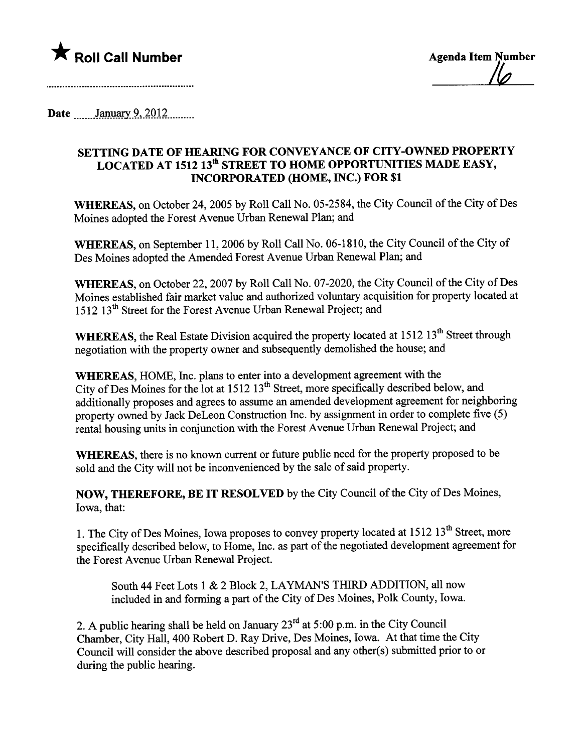

<u>|lo</u>

Date \_\_\_\_\_\_January 9, 2012

## SETTING DATE OF HEARNG FOR CONVEYANCE OF CITY-OWNED PROPERTY LOCATED AT 1512 13<sup>th</sup> STREET TO HOME OPPORTUNITIES MADE EASY, INCORPORATED (HOME, INC.) FOR \$1

WHEREAS, on October 24,2005 by Roll Call No. 05-2584, the City Council of the City of Des Moines adopted the Forest Avenue Urban Renewal Plan; and

WHEREAS, on September 11,2006 by Roll Call No. 06-1810, the City Council of the City of Des Moines adopted the Amended Forest Avenue Urban Renewal Plan; and

WHEREAS, on October 22, 2007 by Roll Call No. 07-2020, the City Council of the City of Des Moines established fair market value and authorized voluntary acquisition for property located at 1512 13<sup>th</sup> Street for the Forest Avenue Urban Renewal Project; and

WHEREAS, the Real Estate Division acquired the property located at 1512 13<sup>th</sup> Street through negotiation with the property owner and subsequently demolished the house; and

WHEREAS, HOME, Inc. plans to enter into a development agreement with the City of Des Moines for the lot at  $1512 \times 13^{th}$  Street, more specifically described below, and additionally proposes and agrees to assume an amended development agreement for neighboring property owned by Jack DeLeon Construction Inc. by assignment in order to complete five (5) rental housing units in conjunction with the Forest Avenue Urban Renewal Project; and

WHEREAS, there is no known current or future public need for the property proposed to be sold and the City will not be inconvenienced by the sale of said property.

NOW, THEREFORE, BE IT RESOLVED by the City Council of the City of Des Moines, Iowa, that:

1. The City of Des Moines, Iowa proposes to convey property located at 1512 13<sup>th</sup> Street, more specifically described below, to Home, Inc. as part of the negotiated development agreement for the Forest Avenue Urban Renewal Project.

South 44 Feet Lots 1 & 2 Block 2, LAYMAN'S THIRD ADDITION, all now included in and forming a part of the City of Des Moines, Polk County, Iowa.

2. A public hearing shall be held on January  $23<sup>rd</sup>$  at 5:00 p.m. in the City Council Chamber, City Hall, 400 Robert D. Ray Drive, Des Moines, Iowa. At that time the City Council will consider the above described proposal and any other(s) submitted prior to or during the public hearing.